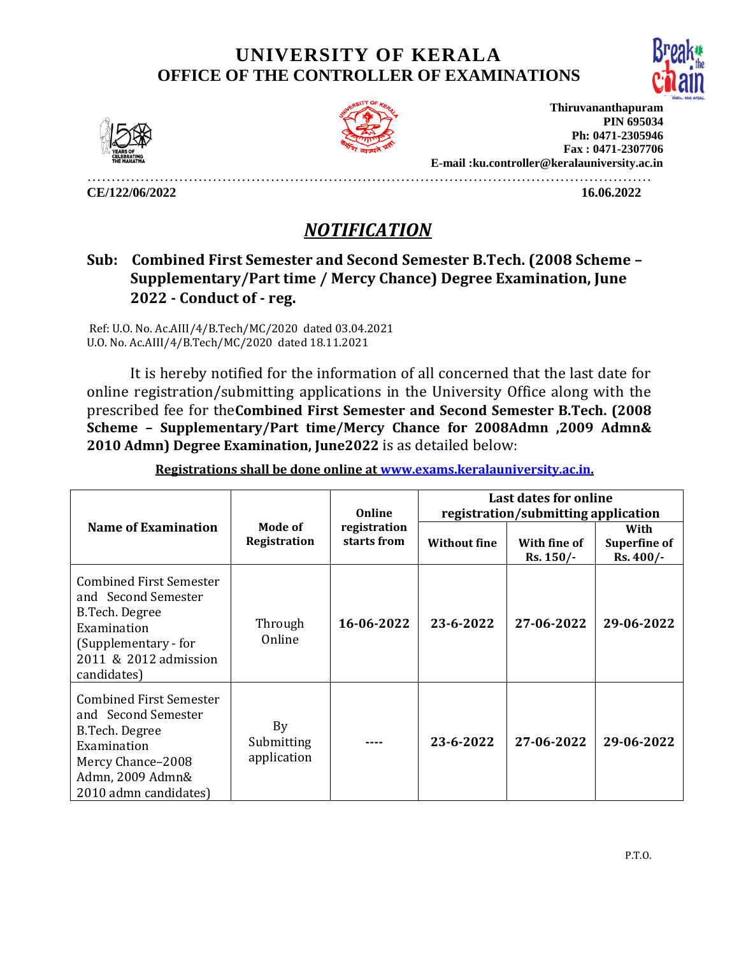## **UNIVERSITY OF KERALA OFFICE OF THE CONTROLLER OF EXAMINATIONS**





**Thiruvananthapuram PIN 695034 Ph: 0471-2305946 Fax : 0471-2307706 E-mail :ku.controller@keralauniversity.ac.in**

………………………………………………………………………………………………………

**CE/122/06/2022 16.06.2022** 

## *NOTIFICATION*

## **Sub: Combined First Semester and Second Semester B.Tech. (2008 Scheme – Supplementary/Part time / Mercy Chance) Degree Examination, June 2022 - Conduct of - reg.**

Ref: U.O. No. Ac.AIII/4/B.Tech/MC/2020 dated 03.04.2021 U.O. No. Ac.AIII/4/B.Tech/MC/2020 dated 18.11.2021

It is hereby notified for the information of all concerned that the last date for online registration/submitting applications in the University Office along with the prescribed fee for the**Combined First Semester and Second Semester B.Tech. (2008 Scheme – Supplementary/Part time/Mercy Chance for 2008Admn ,2009 Admn& 2010 Admn) Degree Examination, June2022** is as detailed below:

| <b>Name of Examination</b>                                                                                                                               | Mode of<br>Registration         | Online<br>registration<br>starts from | <b>Last dates for online</b><br>registration/submitting application |                              |                                           |
|----------------------------------------------------------------------------------------------------------------------------------------------------------|---------------------------------|---------------------------------------|---------------------------------------------------------------------|------------------------------|-------------------------------------------|
|                                                                                                                                                          |                                 |                                       | <b>Without fine</b>                                                 | With fine of<br>$Rs. 150/$ - | With<br><b>Superfine of</b><br>$Rs.400/-$ |
| <b>Combined First Semester</b><br>and Second Semester<br>B.Tech. Degree<br>Examination<br>(Supplementary - for<br>2011 & 2012 admission<br>candidates)   | Through<br>Online               | 16-06-2022                            | 23-6-2022                                                           | 27-06-2022                   | 29-06-2022                                |
| <b>Combined First Semester</b><br>and Second Semester<br>B.Tech. Degree<br>Examination<br>Mercy Chance-2008<br>Admn, 2009 Admn&<br>2010 admn candidates) | By<br>Submitting<br>application |                                       | 23-6-2022                                                           | 27-06-2022                   | 29-06-2022                                |

**Registrations shall be done online at [www.exams.keralauniversity.ac.in.](http://www.exams.keralauniversity.ac.in/)**